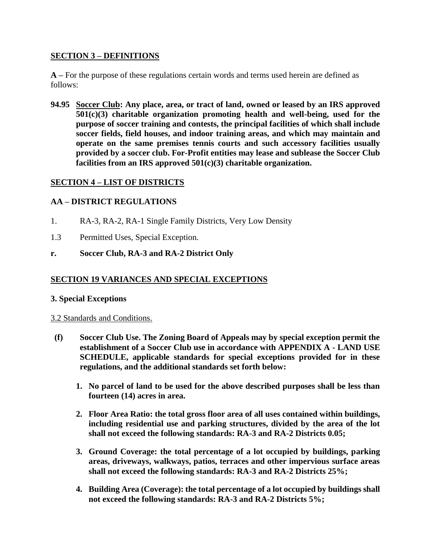### **SECTION 3 – DEFINITIONS**

**A –** For the purpose of these regulations certain words and terms used herein are defined as follows:

**94.95 Soccer Club: Any place, area, or tract of land, owned or leased by an IRS approved 501(c)(3) charitable organization promoting health and well-being, used for the purpose of soccer training and contests, the principal facilities of which shall include soccer fields, field houses, and indoor training areas, and which may maintain and operate on the same premises tennis courts and such accessory facilities usually provided by a soccer club. For-Profit entities may lease and sublease the Soccer Club facilities from an IRS approved 501(c)(3) charitable organization.**

## **SECTION 4 – LIST OF DISTRICTS**

## **AA – DISTRICT REGULATIONS**

- 1. RA-3, RA-2, RA-1 Single Family Districts, Very Low Density
- 1.3 Permitted Uses, Special Exception.
- **r. Soccer Club, RA-3 and RA-2 District Only**

## **SECTION 19 VARIANCES AND SPECIAL EXCEPTIONS**

### **3. Special Exceptions**

### 3.2 Standards and Conditions.

- **(f) Soccer Club Use. The Zoning Board of Appeals may by special exception permit the establishment of a Soccer Club use in accordance with APPENDIX A - LAND USE SCHEDULE, applicable standards for special exceptions provided for in these regulations, and the additional standards set forth below:**
	- **1. No parcel of land to be used for the above described purposes shall be less than fourteen (14) acres in area.**
	- **2. Floor Area Ratio: the total gross floor area of all uses contained within buildings, including residential use and parking structures, divided by the area of the lot shall not exceed the following standards: RA-3 and RA-2 Districts 0.05;**
	- **3. Ground Coverage: the total percentage of a lot occupied by buildings, parking areas, driveways, walkways, patios, terraces and other impervious surface areas shall not exceed the following standards: RA-3 and RA-2 Districts 25%;**
	- **4. Building Area (Coverage): the total percentage of a lot occupied by buildings shall not exceed the following standards: RA-3 and RA-2 Districts 5%;**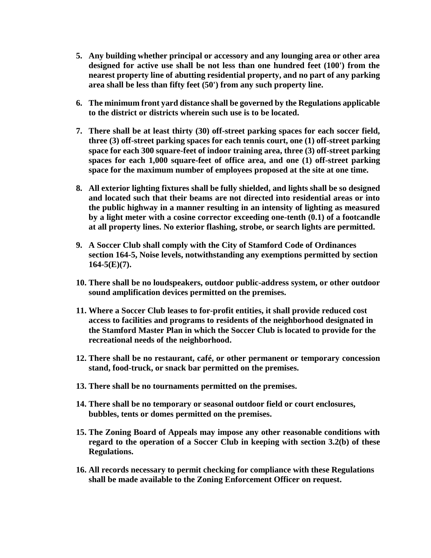- **5. Any building whether principal or accessory and any lounging area or other area designed for active use shall be not less than one hundred feet (100') from the nearest property line of abutting residential property, and no part of any parking area shall be less than fifty feet (50') from any such property line.**
- **6. The minimum front yard distance shall be governed by the Regulations applicable to the district or districts wherein such use is to be located.**
- **7. There shall be at least thirty (30) off-street parking spaces for each soccer field, three (3) off-street parking spaces for each tennis court, one (1) off-street parking space for each 300 square-feet of indoor training area, three (3) off-street parking spaces for each 1,000 square-feet of office area, and one (1) off-street parking space for the maximum number of employees proposed at the site at one time.**
- **8. All exterior lighting fixtures shall be fully shielded, and lights shall be so designed and located such that their beams are not directed into residential areas or into the public highway in a manner resulting in an intensity of lighting as measured by a light meter with a cosine corrector exceeding one-tenth (0.1) of a footcandle at all property lines. No exterior flashing, strobe, or search lights are permitted.**
- **9. A Soccer Club shall comply with the City of Stamford Code of Ordinances section 164-5, Noise levels, notwithstanding any exemptions permitted by section 164-5(E)(7).**
- **10. There shall be no loudspeakers, outdoor public-address system, or other outdoor sound amplification devices permitted on the premises.**
- **11. Where a Soccer Club leases to for-profit entities, it shall provide reduced cost access to facilities and programs to residents of the neighborhood designated in the Stamford Master Plan in which the Soccer Club is located to provide for the recreational needs of the neighborhood.**
- **12. There shall be no restaurant, café, or other permanent or temporary concession stand, food-truck, or snack bar permitted on the premises.**
- **13. There shall be no tournaments permitted on the premises.**
- **14. There shall be no temporary or seasonal outdoor field or court enclosures, bubbles, tents or domes permitted on the premises.**
- **15. The Zoning Board of Appeals may impose any other reasonable conditions with regard to the operation of a Soccer Club in keeping with section 3.2(b) of these Regulations.**
- **16. All records necessary to permit checking for compliance with these Regulations shall be made available to the Zoning Enforcement Officer on request.**